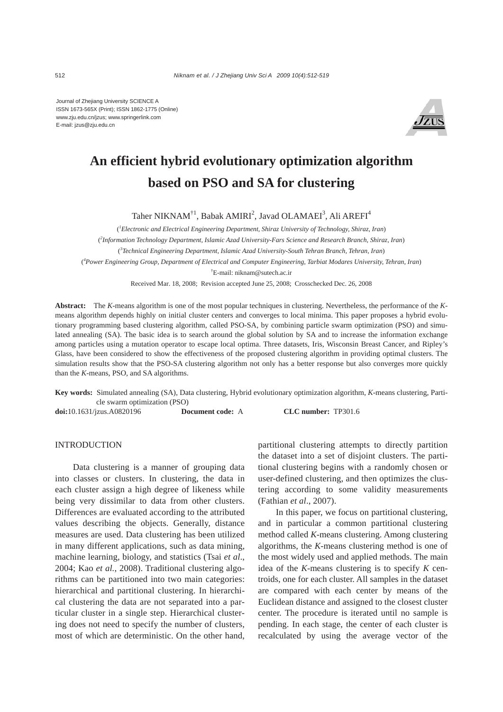Journal of Zhejiang University SCIENCE A ISSN 1673-565X (Print); ISSN 1862-1775 (Online) www.zju.edu.cn/jzus; www.springerlink.com E-mail: jzus@zju.edu.cn



# **An efficient hybrid evolutionary optimization algorithm based on PSO and SA for clustering**

Taher NIKNA $M^{\dagger1}$ , Babak AMIRI<sup>2</sup>, Javad OLAMAEI<sup>3</sup>, Ali AREFI<sup>4</sup>

( *1 Electronic and Electrical Engineering Department, Shiraz University of Technology, Shiraz, Iran*) ( *2 Information Technology Department, Islamic Azad University-Fars Science and Research Branch, Shiraz, Iran*) ( *3 Technical Engineering Department, Islamic Azad University-South Tehran Branch, Tehran, Iran*) ( *4 Power Engineering Group, Department of Electrical and Computer Engineering, Tarbiat Modares University, Tehran, Iran*) † E-mail: niknam@sutech.ac.ir

Received Mar. 18, 2008; Revision accepted June 25, 2008; Crosschecked Dec. 26, 2008

**Abstract:** The *K*-means algorithm is one of the most popular techniques in clustering. Nevertheless, the performance of the *K*means algorithm depends highly on initial cluster centers and converges to local minima. This paper proposes a hybrid evolutionary programming based clustering algorithm, called PSO-SA, by combining particle swarm optimization (PSO) and simulated annealing (SA). The basic idea is to search around the global solution by SA and to increase the information exchange among particles using a mutation operator to escape local optima. Three datasets, Iris, Wisconsin Breast Cancer, and Ripley's Glass, have been considered to show the effectiveness of the proposed clustering algorithm in providing optimal clusters. The simulation results show that the PSO-SA clustering algorithm not only has a better response but also converges more quickly than the *K*-means, PSO, and SA algorithms.

**Key words:** Simulated annealing (SA), Data clustering, Hybrid evolutionary optimization algorithm, *K*-means clustering, Particle swarm optimization (PSO) **doi:**10.1631/jzus.A0820196 **Document code:** A **CLC number:** TP301.6

# INTRODUCTION

Data clustering is a manner of grouping data into classes or clusters. In clustering, the data in each cluster assign a high degree of likeness while being very dissimilar to data from other clusters. Differences are evaluated according to the attributed values describing the objects. Generally, distance measures are used. Data clustering has been utilized in many different applications, such as data mining, machine learning, biology, and statistics (Tsai *et al*., 2004; Kao *et al.*, 2008). Traditional clustering algorithms can be partitioned into two main categories: hierarchical and partitional clustering. In hierarchical clustering the data are not separated into a particular cluster in a single step. Hierarchical clustering does not need to specify the number of clusters, most of which are deterministic. On the other hand,

partitional clustering attempts to directly partition the dataset into a set of disjoint clusters. The partitional clustering begins with a randomly chosen or user-defined clustering, and then optimizes the clustering according to some validity measurements (Fathian *et al*., 2007).

In this paper, we focus on partitional clustering, and in particular a common partitional clustering method called *K*-means clustering. Among clustering algorithms, the *K*-means clustering method is one of the most widely used and applied methods. The main idea of the *K*-means clustering is to specify *K* centroids, one for each cluster. All samples in the dataset are compared with each center by means of the Euclidean distance and assigned to the closest cluster center. The procedure is iterated until no sample is pending. In each stage, the center of each cluster is recalculated by using the average vector of the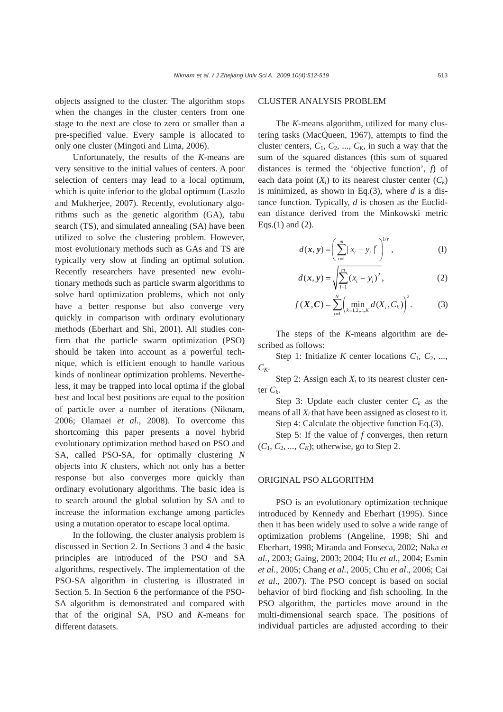objects assigned to the cluster. The algorithm stops when the changes in the cluster centers from one stage to the next are close to zero or smaller than a pre-specified value. Every sample is allocated to only one cluster (Mingoti and Lima, 2006).

Unfortunately, the results of the *K*-means are very sensitive to the initial values of centers. A poor selection of centers may lead to a local optimum, which is quite inferior to the global optimum (Laszlo and Mukherjee, 2007). Recently, evolutionary algorithms such as the genetic algorithm (GA), tabu search (TS), and simulated annealing (SA) have been utilized to solve the clustering problem. However, most evolutionary methods such as GAs and TS are typically very slow at finding an optimal solution. Recently researchers have presented new evolutionary methods such as particle swarm algorithms to solve hard optimization problems, which not only have a better response but also converge very quickly in comparison with ordinary evolutionary methods (Eberhart and Shi, 2001). All studies confirm that the particle swarm optimization (PSO) should be taken into account as a powerful technique, which is efficient enough to handle various kinds of nonlinear optimization problems. Nevertheless, it may be trapped into local optima if the global best and local best positions are equal to the position of particle over a number of iterations (Niknam, 2006; Olamaei *et al*., 2008). To overcome this shortcoming this paper presents a novel hybrid evolutionary optimization method based on PSO and SA, called PSO-SA, for optimally clustering *N* objects into *K* clusters, which not only has a better response but also converges more quickly than ordinary evolutionary algorithms. The basic idea is to search around the global solution by SA and to increase the information exchange among particles using a mutation operator to escape local optima.

In the following, the cluster analysis problem is discussed in Section 2. In Sections 3 and 4 the basic principles are introduced of the PSO and SA algorithms, respectively. The implementation of the PSO-SA algorithm in clustering is illustrated in Section 5. In Section 6 the performance of the PSO-SA algorithm is demonstrated and compared with that of the original SA, PSO and *K*-means for different datasets.

# CLUSTER ANALYSIS PROBLEM

The *K*-means algorithm, utilized for many clustering tasks (MacQueen, 1967), attempts to find the cluster centers,  $C_1$ ,  $C_2$ , ...,  $C_K$ , in such a way that the sum of the squared distances (this sum of squared distances is termed the 'objective function', *f*) of each data point  $(X_i)$  to its nearest cluster center  $(C_k)$ is minimized, as shown in Eq.(3), where *d* is a distance function. Typically, *d* is chosen as the Euclidean distance derived from the Minkowski metric Eqs.(1) and (2).

$$
d(x, y) = \left(\sum_{i=1}^{m} |x_i - y_i|^r\right)^{1/r},
$$
 (1)

$$
d(x, y) = \sqrt{\sum_{i=1}^{m} (x_i - y_i)^2},
$$
 (2)

$$
f(\mathbf{X}, \mathbf{C}) = \sum_{i=1}^{N} \left( \min_{k=1,2,\dots,K} d(X_i, C_k) \right)^2.
$$
 (3)

The steps of the *K*-means algorithm are described as follows:

Step 1: Initialize *K* center locations  $C_1$ ,  $C_2$ , ...,  $C_K$ .

Step 2: Assign each  $X_i$  to its nearest cluster center  $C_k$ .

Step 3: Update each cluster center  $C_k$  as the means of all *Xi* that have been assigned as closest to it. Step 4: Calculate the objective function Eq.(3).

Step 5: If the value of *f* converges, then return  $(C_1, C_2, \ldots, C_K)$ ; otherwise, go to Step 2.

## ORIGINAL PSO ALGORITHM

PSO is an evolutionary optimization technique introduced by Kennedy and Eberhart (1995). Since then it has been widely used to solve a wide range of optimization problems (Angeline, 1998; Shi and Eberhart, 1998; Miranda and Fonseca, 2002; Naka *et al*., 2003; Gaing, 2003; 2004; Hu *et al*., 2004; Esmin *et al*., 2005; Chang *et al.*, 2005; Chu *et al*., 2006; Cai *et al*., 2007). The PSO concept is based on social behavior of bird flocking and fish schooling. In the PSO algorithm, the particles move around in the multi-dimensional search space. The positions of individual particles are adjusted according to their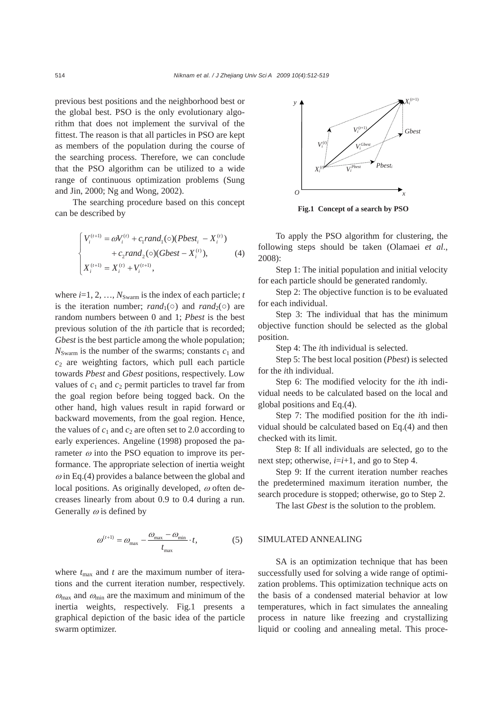previous best positions and the neighborhood best or the global best. PSO is the only evolutionary algorithm that does not implement the survival of the fittest. The reason is that all particles in PSO are kept as members of the population during the course of the searching process. Therefore, we can conclude that the PSO algorithm can be utilized to a wide range of continuous optimization problems (Sung and Jin, 2000; Ng and Wong, 2002).

The searching procedure based on this concept can be described by

$$
\begin{cases}\nV_i^{(t+1)} = \omega V_i^{(t)} + c_1 rand_1(\circ)(Pbest_i - X_i^{(t)}) \\
+ c_2 rand_2(\circ)(Gbest - X_i^{(t)}), \\
X_i^{(t+1)} = X_i^{(t)} + V_i^{(t+1)},\n\end{cases} \tag{4}
$$

where  $i=1, 2, ..., N_{Swarm}$  is the index of each particle; *t* is the iteration number; *rand*<sub>1</sub>( $\circ$ ) and *rand*<sub>2</sub>( $\circ$ ) are random numbers between 0 and 1; *Pbest* is the best previous solution of the *i*th particle that is recorded; *Gbest* is the best particle among the whole population;  $N_{Swarm}$  is the number of the swarms; constants  $c_1$  and *c*2 are weighting factors, which pull each particle towards *Pbest* and *Gbest* positions, respectively. Low values of  $c_1$  and  $c_2$  permit particles to travel far from the goal region before being togged back. On the other hand, high values result in rapid forward or backward movements, from the goal region. Hence, the values of  $c_1$  and  $c_2$  are often set to 2.0 according to early experiences. Angeline (1998) proposed the parameter  $\omega$  into the PSO equation to improve its performance. The appropriate selection of inertia weight  $\omega$  in Eq.(4) provides a balance between the global and local positions. As originally developed,  $\omega$  often decreases linearly from about 0.9 to 0.4 during a run. Generally  $\omega$  is defined by

$$
\omega^{(t+1)} = \omega_{\text{max}} - \frac{\omega_{\text{max}} - \omega_{\text{min}}}{t_{\text{max}}} \cdot t,\tag{5}
$$

where  $t_{\text{max}}$  and  $t$  are the maximum number of iterations and the current iteration number, respectively.  $\omega_{\text{max}}$  and  $\omega_{\text{min}}$  are the maximum and minimum of the inertia weights, respectively. Fig.1 presents a graphical depiction of the basic idea of the particle swarm optimizer.



**Fig.1 Concept of a search by PSO** 

To apply the PSO algorithm for clustering, the following steps should be taken (Olamaei *et al*., 2008):

Step 1: The initial population and initial velocity for each particle should be generated randomly.

Step 2: The objective function is to be evaluated for each individual.

Step 3: The individual that has the minimum objective function should be selected as the global position.

Step 4: The *i*th individual is selected.

Step 5: The best local position (*Pbest*) is selected for the *i*th individual.

Step 6: The modified velocity for the *i*th individual needs to be calculated based on the local and global positions and Eq.(4).

Step 7: The modified position for the *i*th individual should be calculated based on Eq.(4) and then checked with its limit.

Step 8: If all individuals are selected, go to the next step; otherwise,  $i=i+1$ , and go to Step 4.

Step 9: If the current iteration number reaches the predetermined maximum iteration number, the search procedure is stopped; otherwise, go to Step 2.

The last *Gbest* is the solution to the problem.

# SIMULATED ANNEALING

SA is an optimization technique that has been successfully used for solving a wide range of optimization problems. This optimization technique acts on the basis of a condensed material behavior at low temperatures, which in fact simulates the annealing process in nature like freezing and crystallizing liquid or cooling and annealing metal. This proce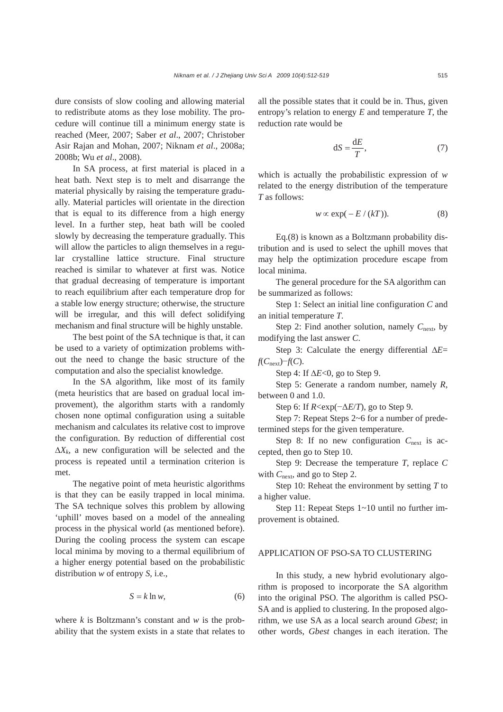dure consists of slow cooling and allowing material to redistribute atoms as they lose mobility. The procedure will continue till a minimum energy state is reached (Meer, 2007; Saber *et al*., 2007; Christober Asir Rajan and Mohan, 2007; Niknam *et al*., 2008a; 2008b; Wu *et al*., 2008).

In SA process, at first material is placed in a heat bath. Next step is to melt and disarrange the material physically by raising the temperature gradually. Material particles will orientate in the direction that is equal to its difference from a high energy level. In a further step, heat bath will be cooled slowly by decreasing the temperature gradually. This will allow the particles to align themselves in a regular crystalline lattice structure. Final structure reached is similar to whatever at first was. Notice that gradual decreasing of temperature is important to reach equilibrium after each temperature drop for a stable low energy structure; otherwise, the structure will be irregular, and this will defect solidifying mechanism and final structure will be highly unstable.

The best point of the SA technique is that, it can be used to a variety of optimization problems without the need to change the basic structure of the computation and also the specialist knowledge.

In the SA algorithm, like most of its family (meta heuristics that are based on gradual local improvement), the algorithm starts with a randomly chosen none optimal configuration using a suitable mechanism and calculates its relative cost to improve the configuration. By reduction of differential cost  $\Delta X_k$ , a new configuration will be selected and the process is repeated until a termination criterion is met.

The negative point of meta heuristic algorithms is that they can be easily trapped in local minima. The SA technique solves this problem by allowing 'uphill' moves based on a model of the annealing process in the physical world (as mentioned before). During the cooling process the system can escape local minima by moving to a thermal equilibrium of a higher energy potential based on the probabilistic distribution *w* of entropy *S*, i.e.,

$$
S = k \ln w,\tag{6}
$$

where *k* is Boltzmann's constant and *w* is the probability that the system exists in a state that relates to all the possible states that it could be in. Thus, given entropy's relation to energy *E* and temperature *T*, the reduction rate would be

$$
dS = \frac{dE}{T},\tag{7}
$$

which is actually the probabilistic expression of *w* related to the energy distribution of the temperature *T* as follows:

$$
w \propto \exp(-E/(kT)). \tag{8}
$$

Eq.(8) is known as a Boltzmann probability distribution and is used to select the uphill moves that may help the optimization procedure escape from local minima.

The general procedure for the SA algorithm can be summarized as follows:

Step 1: Select an initial line configuration *C* and an initial temperature *T*.

Step 2: Find another solution, namely  $C_{\text{next}}$ , by modifying the last answer *C*.

Step 3: Calculate the energy differential Δ*E*= *f*( $C$ <sub>next</sub>)−*f*( $C$ ).

Step 4: If Δ*E*<0, go to Step 9.

Step 5: Generate a random number, namely *R*, between 0 and 1.0.

Step 6: If *R*<exp(−Δ*E*/*T*), go to Step 9.

Step 7: Repeat Steps 2~6 for a number of predetermined steps for the given temperature.

Step 8: If no new configuration  $C_{\text{next}}$  is accepted, then go to Step 10.

Step 9: Decrease the temperature *T*, replace *C* with  $C_{\text{next}}$ , and go to Step 2.

Step 10: Reheat the environment by setting *T* to a higher value.

Step 11: Repeat Steps 1~10 until no further improvement is obtained.

# APPLICATION OF PSO-SA TO CLUSTERING

In this study, a new hybrid evolutionary algorithm is proposed to incorporate the SA algorithm into the original PSO. The algorithm is called PSO-SA and is applied to clustering. In the proposed algorithm, we use SA as a local search around *Gbest*; in other words, *Gbest* changes in each iteration. The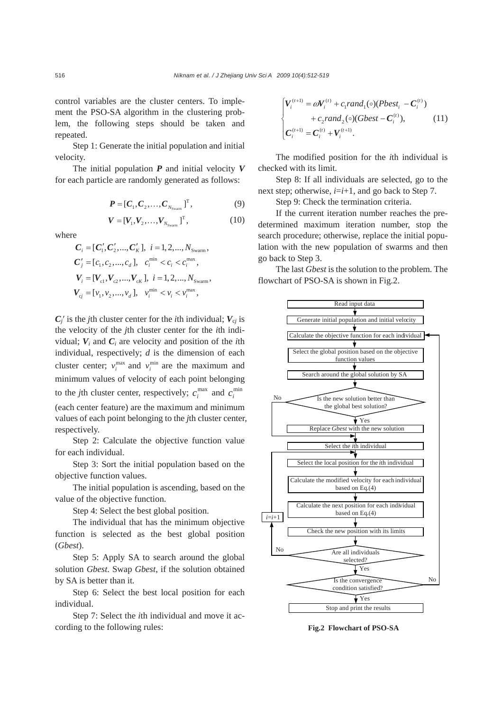control variables are the cluster centers. To implement the PSO-SA algorithm in the clustering problem, the following steps should be taken and repeated.

Step 1: Generate the initial population and initial velocity.

The initial population *P* and initial velocity *V* for each particle are randomly generated as follows:

$$
\boldsymbol{P} = [\boldsymbol{C}_1, \boldsymbol{C}_2, \dots, \boldsymbol{C}_{N_{\text{Swarm}}}]^{\text{T}}, \tag{9}
$$

$$
V = [V_1, V_2, \dots, V_{N_{\text{Swarm}}} ]^{\text{T}}, \tag{10}
$$

where

$$
C_{i} = [C'_{1}, C'_{2}, ..., C'_{K}], i = 1, 2, ..., N_{Swarm},
$$
  
\n
$$
C'_{j} = [c_{1}, c_{2}, ..., c_{d}], c_{i}^{min} < c_{i} < c_{i}^{max},
$$
  
\n
$$
V_{i} = [V_{c1}, V_{c2}, ..., V_{cK}], i = 1, 2, ..., N_{Swarm},
$$
  
\n
$$
V_{cj} = [v_{1}, v_{2}, ..., v_{d}], v_{i}^{min} < v_{i} < v_{i}^{max},
$$

 $C_i'$  is the *j*th cluster center for the *i*th individual;  $V_{ci}$  is the velocity of the *j*th cluster center for the *i*th individual;  $V_i$  and  $C_i$  are velocity and position of the *i*th individual, respectively; *d* is the dimension of each cluster center;  $v_i^{\text{max}}$  and  $v_i^{\text{min}}$  are the maximum and minimum values of velocity of each point belonging to the *j*th cluster center, respectively;  $c_i^{\max}$  and  $c_i^{\min}$ (each center feature) are the maximum and minimum values of each point belonging to the *j*th cluster center, respectively.

Step 2: Calculate the objective function value for each individual.

Step 3: Sort the initial population based on the objective function values.

The initial population is ascending, based on the value of the objective function.

Step 4: Select the best global position.

The individual that has the minimum objective function is selected as the best global position (*Gbest*).

Step 5: Apply SA to search around the global solution *Gbest*. Swap *Gbest*, if the solution obtained by SA is better than it*.*

Step 6: Select the best local position for each individual.

Step 7: Select the *i*th individual and move it according to the following rules:

$$
\begin{cases}\nV_i^{(t+1)} = \omega V_i^{(t)} + c_1 rand_1(\circ)(Pbest_i - C_i^{(t)}) \\
+ c_2 rand_2(\circ)(Gbest - C_i^{(t)}), \\
C_i^{(t+1)} = C_i^{(t)} + V_i^{(t+1)}.\n\end{cases} (11)
$$

The modified position for the *i*th individual is checked with its limit.

Step 8: If all individuals are selected, go to the next step; otherwise, *i*=*i*+1, and go back to Step 7.

Step 9: Check the termination criteria.

If the current iteration number reaches the predetermined maximum iteration number, stop the search procedure; otherwise, replace the initial population with the new population of swarms and then go back to Step 3.

The last *Gbest* is the solution to the problem. The flowchart of PSO-SA is shown in Fig.2.



**Fig.2 Flowchart of PSO-SA**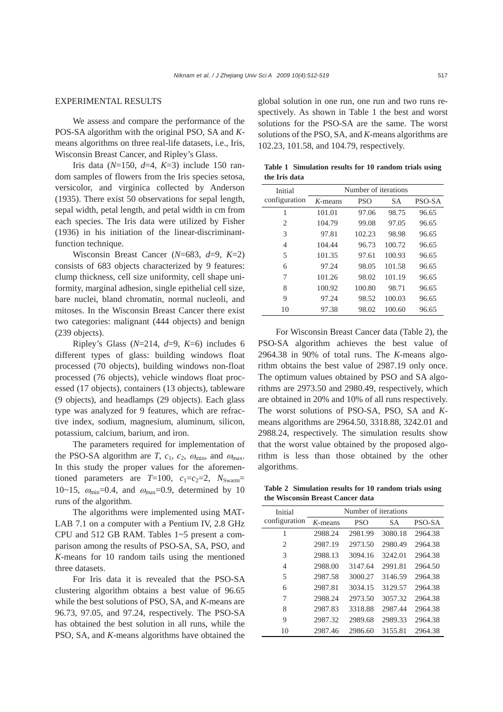#### EXPERIMENTAL RESULTS

We assess and compare the performance of the POS-SA algorithm with the original PSO, SA and *K*means algorithms on three real-life datasets, i.e., Iris, Wisconsin Breast Cancer, and Ripley's Glass.

Iris data (*N*=150, *d*=4, *K*=3) include 150 random samples of flowers from the Iris species setosa, versicolor, and virginica collected by Anderson (1935). There exist 50 observations for sepal length, sepal width, petal length, and petal width in cm from each species. The Iris data were utilized by Fisher (1936) in his initiation of the linear-discriminantfunction technique.

Wisconsin Breast Cancer (*N*=683, *d*=9, *K*=2) consists of 683 objects characterized by 9 features: clump thickness, cell size uniformity, cell shape uniformity, marginal adhesion, single epithelial cell size, bare nuclei, bland chromatin, normal nucleoli, and mitoses. In the Wisconsin Breast Cancer there exist two categories: malignant (444 objects) and benign (239 objects).

Ripley's Glass  $(N=214, d=9, K=6)$  includes 6 different types of glass: building windows float processed (70 objects), building windows non-float processed (76 objects), vehicle windows float processed (17 objects), containers (13 objects), tableware (9 objects), and headlamps (29 objects). Each glass type was analyzed for 9 features, which are refractive index, sodium, magnesium, aluminum, silicon, potassium, calcium, barium, and iron.

The parameters required for implementation of the PSO-SA algorithm are *T*,  $c_1$ ,  $c_2$ ,  $\omega_{\text{min}}$ , and  $\omega_{\text{max}}$ . In this study the proper values for the aforementioned parameters are  $T=100$ ,  $c_1=c_2=2$ ,  $N_{\text{Swarm}}=$ 10~15,  $\omega_{\text{min}}$ =0.4, and  $\omega_{\text{max}}$ =0.9, determined by 10 runs of the algorithm.

The algorithms were implemented using MAT-LAB 7.1 on a computer with a Pentium IV, 2.8 GHz CPU and 512 GB RAM. Tables 1~5 present a comparison among the results of PSO-SA, SA, PSO, and *K*-means for 10 random tails using the mentioned three datasets.

For Iris data it is revealed that the PSO-SA clustering algorithm obtains a best value of 96.65 while the best solutions of PSO, SA, and *K*-means are 96.73, 97.05, and 97.24, respectively. The PSO-SA has obtained the best solution in all runs, while the PSO, SA, and *K*-means algorithms have obtained the global solution in one run, one run and two runs respectively. As shown in Table 1 the best and worst solutions for the PSO-SA are the same. The worst solutions of the PSO, SA, and *K*-means algorithms are 102.23, 101.58, and 104.79, respectively.

**Table 1 Simulation results for 10 random trials using the Iris data** 

| Initial       | Number of iterations |            |        |        |
|---------------|----------------------|------------|--------|--------|
| configuration | $K$ -means           | <b>PSO</b> | SА     | PSO-SA |
| 1             | 101.01               | 97.06      | 98.75  | 96.65  |
| 2             | 104.79               | 99.08      | 97.05  | 96.65  |
| 3             | 97.81                | 102.23     | 98.98  | 96.65  |
| 4             | 104.44               | 96.73      | 100.72 | 96.65  |
| 5             | 101.35               | 97.61      | 100.93 | 96.65  |
| 6             | 97.24                | 98.05      | 101.58 | 96.65  |
| 7             | 101.26               | 98.02      | 101.19 | 96.65  |
| 8             | 100.92               | 100.80     | 98.71  | 96.65  |
| 9             | 97.24                | 98.52      | 100.03 | 96.65  |
| 10            | 97.38                | 98.02      | 100.60 | 96.65  |

For Wisconsin Breast Cancer data (Table 2), the PSO-SA algorithm achieves the best value of 2964.38 in 90% of total runs. The *K*-means algorithm obtains the best value of 2987.19 only once. The optimum values obtained by PSO and SA algorithms are 2973.50 and 2980.49, respectively, which are obtained in 20% and 10% of all runs respectively. The worst solutions of PSO-SA, PSO, SA and *K*means algorithms are 2964.50, 3318.88, 3242.01 and 2988.24, respectively. The simulation results show that the worst value obtained by the proposed algorithm is less than those obtained by the other algorithms.

**Table 2 Simulation results for 10 random trials using the Wisconsin Breast Cancer data** 

| Initial        | Number of iterations |            |           |         |
|----------------|----------------------|------------|-----------|---------|
| configuration  | $K$ -means           | <b>PSO</b> | <b>SA</b> | PSO-SA  |
| 1              | 2988.24              | 2981.99    | 3080.18   | 2964.38 |
| $\overline{c}$ | 2987.19              | 2973.50    | 2980.49   | 2964.38 |
| 3              | 2988.13              | 3094.16    | 3242.01   | 2964.38 |
| 4              | 2988.00              | 3147.64    | 2991.81   | 2964.50 |
| 5              | 2987.58              | 3000.27    | 3146.59   | 2964.38 |
| 6              | 2987.81              | 3034.15    | 3129.57   | 2964.38 |
| 7              | 2988.24              | 2973.50    | 3057.32   | 2964.38 |
| 8              | 2987.83              | 3318.88    | 2987.44   | 2964.38 |
| 9              | 2987.32              | 2989.68    | 2989.33   | 2964.38 |
| 10             | 2987.46              | 2986.60    | 3155.81   | 2964.38 |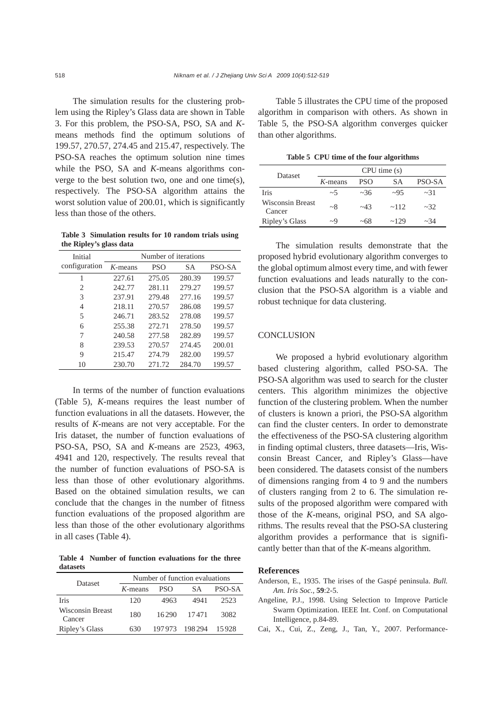The simulation results for the clustering problem using the Ripley's Glass data are shown in Table 3. For this problem, the PSO-SA, PSO, SA and *K*means methods find the optimum solutions of 199.57, 270.57, 274.45 and 215.47, respectively. The PSO-SA reaches the optimum solution nine times while the PSO, SA and *K*-means algorithms converge to the best solution two, one and one time(s), respectively. The PSO-SA algorithm attains the worst solution value of 200.01, which is significantly less than those of the others.

**Table 3 Simulation results for 10 random trials using the Ripley's glass data** 

| Initial       | Number of iterations |            |           |        |
|---------------|----------------------|------------|-----------|--------|
| configuration | $K$ -means           | <b>PSO</b> | <b>SA</b> | PSO-SA |
| 1             | 227.61               | 275.05     | 280.39    | 199.57 |
| 2             | 242.77               | 281.11     | 279.27    | 199.57 |
| 3             | 237.91               | 279.48     | 277.16    | 199.57 |
| 4             | 218.11               | 270.57     | 286.08    | 199.57 |
| 5             | 246.71               | 283.52     | 278.08    | 199.57 |
| 6             | 255.38               | 272.71     | 278.50    | 199.57 |
| 7             | 240.58               | 277.58     | 282.89    | 199.57 |
| 8             | 239.53               | 270.57     | 274.45    | 200.01 |
| 9             | 215.47               | 274.79     | 282.00    | 199.57 |
| 10            | 230.70               | 271.72     | 284.70    | 199.57 |

In terms of the number of function evaluations (Table 5), *K*-means requires the least number of function evaluations in all the datasets. However, the results of *K*-means are not very acceptable. For the Iris dataset, the number of function evaluations of PSO-SA, PSO, SA and *K*-means are 2523, 4963, 4941 and 120, respectively. The results reveal that the number of function evaluations of PSO-SA is less than those of other evolutionary algorithms. Based on the obtained simulation results, we can conclude that the changes in the number of fitness function evaluations of the proposed algorithm are less than those of the other evolutionary algorithms in all cases (Table 4).

**Table 4 Number of function evaluations for the three datasets**

| Dataset                    | Number of function evaluations |       |               |        |  |
|----------------------------|--------------------------------|-------|---------------|--------|--|
|                            | $K$ -means                     | PSO   | SА            | PSO-SA |  |
| Iris                       | 120                            | 4963  | 4941          | 2523   |  |
| Wisconsin Breast<br>Cancer | 180                            | 16290 | 17471         | 3082   |  |
| Ripley's Glass             | 630                            |       | 197973 198294 | 15928  |  |

Table 5 illustrates the CPU time of the proposed algorithm in comparison with others. As shown in Table 5, the PSO-SA algorithm converges quicker than other algorithms.

**Table 5 CPU time of the four algorithms** 

| Dataset                    | CPU time(s) |            |       |        |
|----------------------------|-------------|------------|-------|--------|
|                            | $K$ -means  | <b>PSO</b> | SА    | PSO-SA |
| Iris                       | $\sim$ 5    | ~236       | $-95$ | ~231   |
| Wisconsin Breast<br>Cancer | $\sim$ 8    | $-43$      | ~112  | $-32$  |
| Ripley's Glass             | $\sim$ 9    | ~100       | ~129  | ~1.34  |

The simulation results demonstrate that the proposed hybrid evolutionary algorithm converges to the global optimum almost every time, and with fewer function evaluations and leads naturally to the conclusion that the PSO-SA algorithm is a viable and robust technique for data clustering.

# **CONCLUSION**

We proposed a hybrid evolutionary algorithm based clustering algorithm, called PSO-SA. The PSO-SA algorithm was used to search for the cluster centers. This algorithm minimizes the objective function of the clustering problem. When the number of clusters is known a priori, the PSO-SA algorithm can find the cluster centers. In order to demonstrate the effectiveness of the PSO-SA clustering algorithm in finding optimal clusters, three datasets—Iris, Wisconsin Breast Cancer, and Ripley's Glass—have been considered. The datasets consist of the numbers of dimensions ranging from 4 to 9 and the numbers of clusters ranging from 2 to 6. The simulation results of the proposed algorithm were compared with those of the *K*-means, original PSO, and SA algorithms. The results reveal that the PSO-SA clustering algorithm provides a performance that is significantly better than that of the *K*-means algorithm.

#### **References**

- Anderson, E., 1935. The irises of the Gaspé peninsula. *Bull. Am. Iris Soc.*, **59**:2-5.
- Angeline, P.J., 1998. Using Selection to Improve Particle Swarm Optimization. IEEE Int. Conf. on Computational Intelligence, p.84-89.
- Cai, X., Cui, Z., Zeng, J., Tan, Y., 2007. Performance-